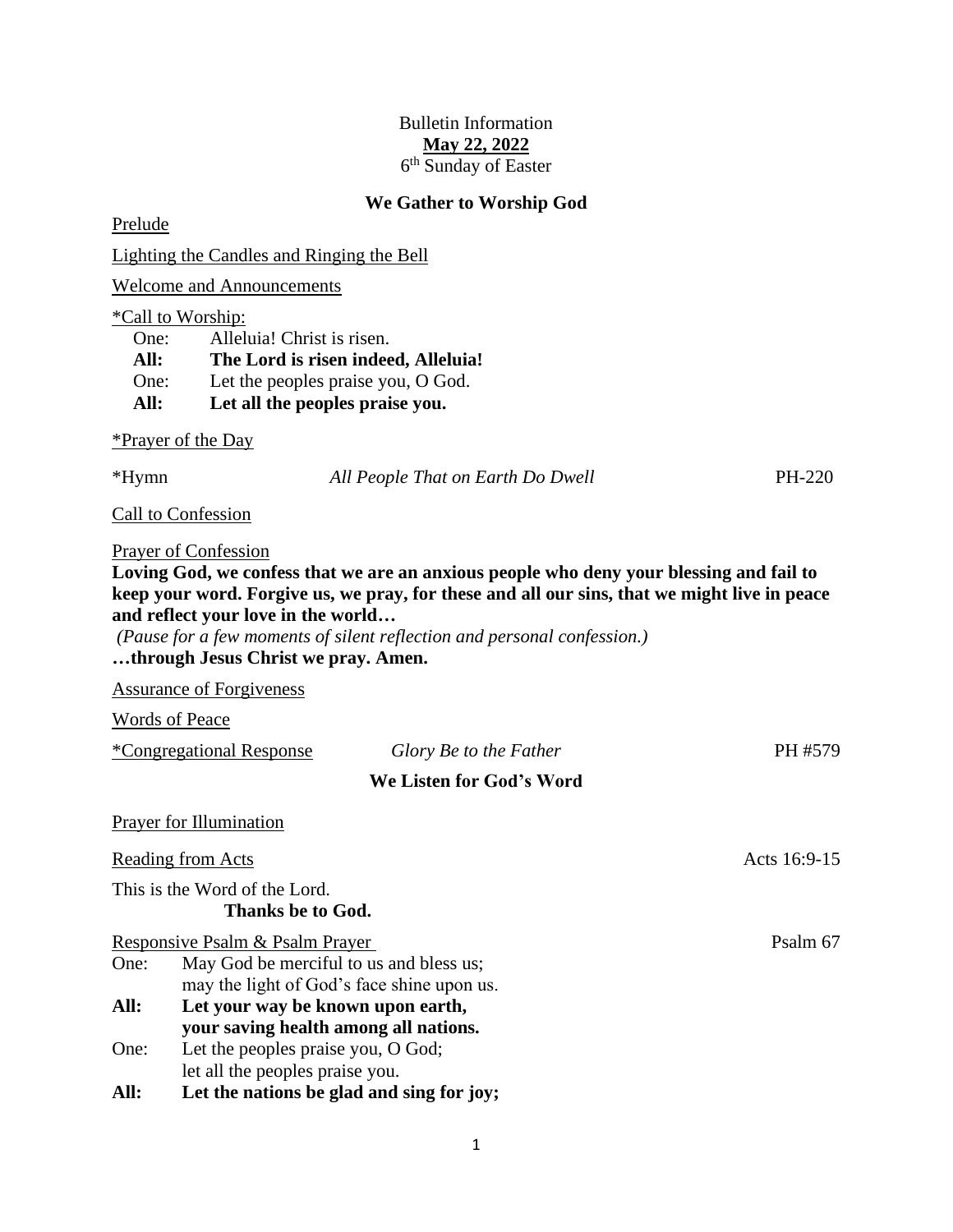## Bulletin Information **May 22, 2022** 6<sup>th</sup> Sunday of Easter

### **We Gather to Worship God**

Prelude

Lighting the Candles and Ringing the Bell

Welcome and Announcements

#### \*Call to Worship:

One: Alleluia! Christ is risen. **All: The Lord is risen indeed, Alleluia!** One: Let the peoples praise you, O God. **All: Let all the peoples praise you.**

#### \*Prayer of the Day

\*Hymn *All People That on Earth Do Dwell* PH-220

Call to Confession

#### Prayer of Confession

**Loving God, we confess that we are an anxious people who deny your blessing and fail to keep your word. Forgive us, we pray, for these and all our sins, that we might live in peace and reflect your love in the world…**

*(Pause for a few moments of silent reflection and personal confession.)*

# **…through Jesus Christ we pray. Amen.**

Assurance of Forgiveness

Words of Peace

| *Congregational Response        | Glory Be to the Father                                                                | PH #579  |
|---------------------------------|---------------------------------------------------------------------------------------|----------|
|                                 | We Listen for God's Word                                                              |          |
| <b>Prayer for Illumination</b>  |                                                                                       |          |
| <b>Reading from Acts</b>        | Acts 16:9-15                                                                          |          |
| This is the Word of the Lord.   | Thanks be to God.                                                                     |          |
| Responsive Psalm & Psalm Prayer |                                                                                       | Psalm 67 |
| One:                            | May God be merciful to us and bless us;<br>may the light of God's face shine upon us. |          |
| All:                            | Let your way be known upon earth,<br>your saving health among all nations.            |          |
| One:                            | Let the peoples praise you, O God;<br>let all the peoples praise you.                 |          |
| All:                            | Let the nations be glad and sing for joy;                                             |          |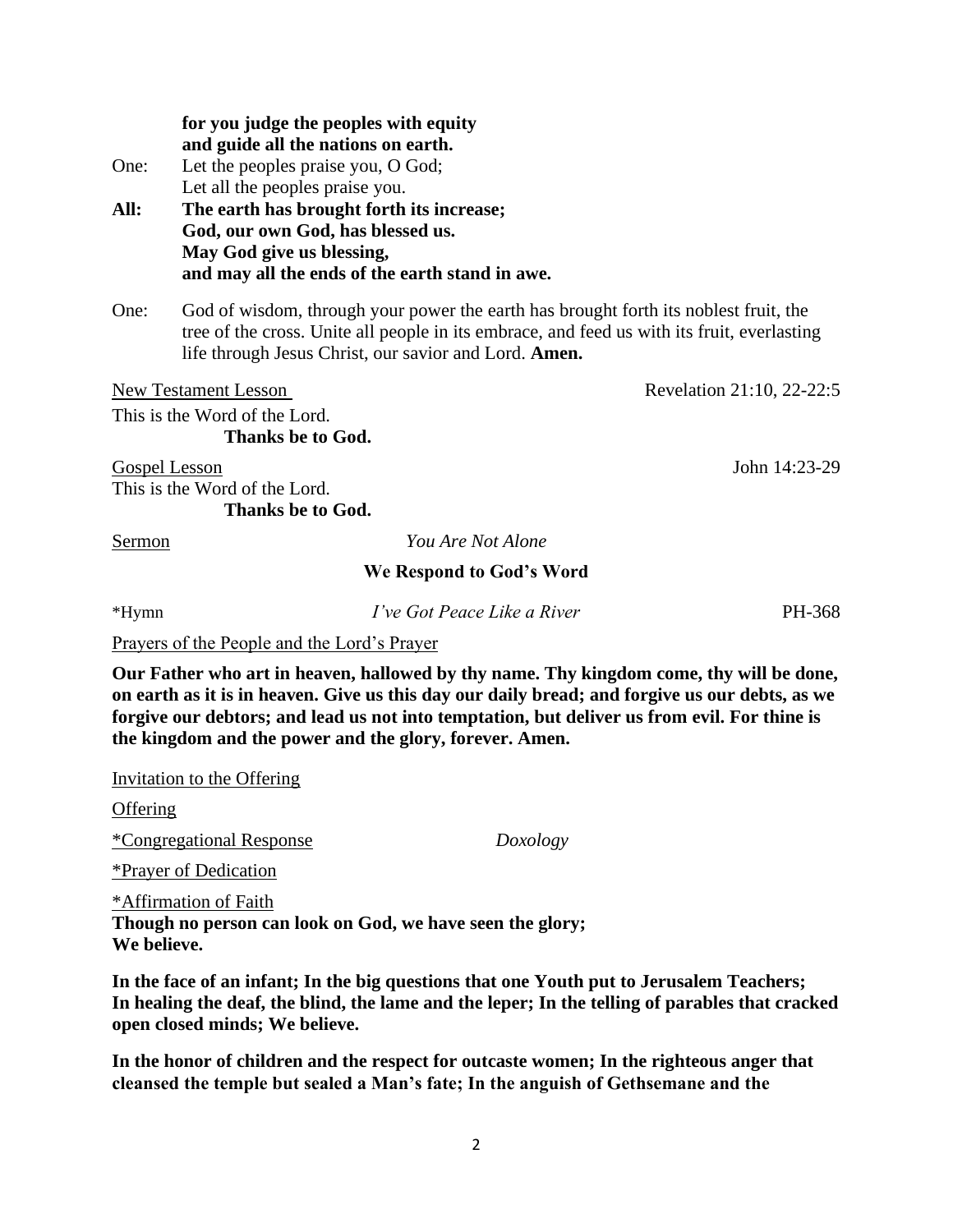|        | for you judge the peoples with equity<br>and guide all the nations on earth.                                                                                                                                                                 |                                                                               |  |  |
|--------|----------------------------------------------------------------------------------------------------------------------------------------------------------------------------------------------------------------------------------------------|-------------------------------------------------------------------------------|--|--|
| One:   | Let the peoples praise you, O God;                                                                                                                                                                                                           |                                                                               |  |  |
|        | Let all the peoples praise you.                                                                                                                                                                                                              |                                                                               |  |  |
| All:   | The earth has brought forth its increase;                                                                                                                                                                                                    |                                                                               |  |  |
|        | God, our own God, has blessed us.                                                                                                                                                                                                            |                                                                               |  |  |
|        | May God give us blessing,                                                                                                                                                                                                                    |                                                                               |  |  |
|        | and may all the ends of the earth stand in awe.                                                                                                                                                                                              |                                                                               |  |  |
| One:   | God of wisdom, through your power the earth has brought forth its noblest fruit, the<br>tree of the cross. Unite all people in its embrace, and feed us with its fruit, everlasting<br>life through Jesus Christ, our savior and Lord. Amen. |                                                                               |  |  |
|        | <b>New Testament Lesson</b>                                                                                                                                                                                                                  | Revelation 21:10, 22-22:5                                                     |  |  |
|        | This is the Word of the Lord.                                                                                                                                                                                                                |                                                                               |  |  |
|        | Thanks be to God.                                                                                                                                                                                                                            |                                                                               |  |  |
|        | <b>Gospel Lesson</b>                                                                                                                                                                                                                         | John 14:23-29                                                                 |  |  |
|        | This is the Word of the Lord.                                                                                                                                                                                                                |                                                                               |  |  |
|        | Thanks be to God.                                                                                                                                                                                                                            |                                                                               |  |  |
| Sermon |                                                                                                                                                                                                                                              | You Are Not Alone                                                             |  |  |
|        |                                                                                                                                                                                                                                              | $\mathbf{W}$ $\mathbf{D}$ $\mathbf{U}$ $\mathbf{A}$ $\mathbf{W}$ $\mathbf{V}$ |  |  |

## **We Respond to God's Word**

\*Hymn *I've Got Peace Like a River* PH-368

Prayers of the People and the Lord's Prayer

**Our Father who art in heaven, hallowed by thy name. Thy kingdom come, thy will be done, on earth as it is in heaven. Give us this day our daily bread; and forgive us our debts, as we forgive our debtors; and lead us not into temptation, but deliver us from evil. For thine is the kingdom and the power and the glory, forever. Amen.**

Invitation to the Offering

**Offering** 

\*Congregational Response *Doxology*

\*Prayer of Dedication

\*Affirmation of Faith **Though no person can look on God, we have seen the glory; We believe.**

**In the face of an infant; In the big questions that one Youth put to Jerusalem Teachers; In healing the deaf, the blind, the lame and the leper; In the telling of parables that cracked open closed minds; We believe.**

**In the honor of children and the respect for outcaste women; In the righteous anger that cleansed the temple but sealed a Man's fate; In the anguish of Gethsemane and the**